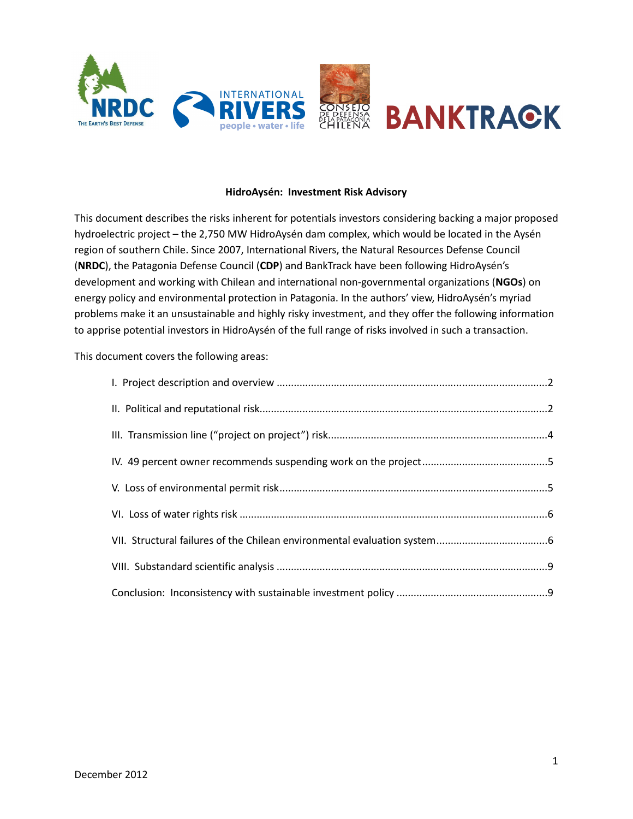

#### HidroAysén: Investment Risk Advisory

This document describes the risks inherent for potentials investors considering backing a major proposed hydroelectric project – the 2,750 MW HidroAysén dam complex, which would be located in the Aysén region of southern Chile. Since 2007, International Rivers, the Natural Resources Defense Council (NRDC), the Patagonia Defense Council (CDP) and BankTrack have been following HidroAysén's development and working with Chilean and international non-governmental organizations (NGOs) on energy policy and environmental protection in Patagonia. In the authors' view, HidroAysén's myriad problems make it an unsustainable and highly risky investment, and they offer the following information to apprise potential investors in HidroAysén of the full range of risks involved in such a transaction.

This document covers the following areas: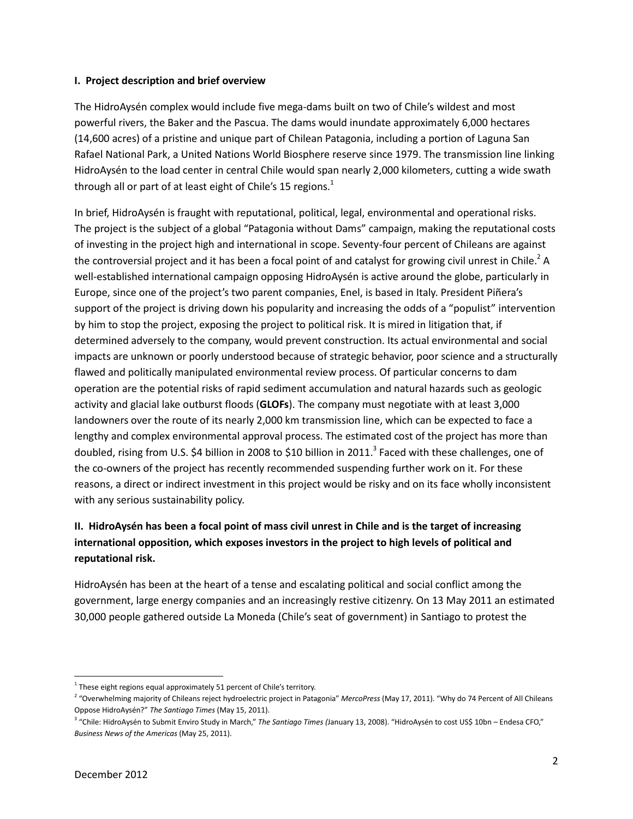### I. Project description and brief overview

The HidroAysén complex would include five mega-dams built on two of Chile's wildest and most powerful rivers, the Baker and the Pascua. The dams would inundate approximately 6,000 hectares (14,600 acres) of a pristine and unique part of Chilean Patagonia, including a portion of Laguna San Rafael National Park, a United Nations World Biosphere reserve since 1979. The transmission line linking HidroAysén to the load center in central Chile would span nearly 2,000 kilometers, cutting a wide swath through all or part of at least eight of Chile's 15 regions. $^1$ 

In brief, HidroAysén is fraught with reputational, political, legal, environmental and operational risks. The project is the subject of a global "Patagonia without Dams" campaign, making the reputational costs of investing in the project high and international in scope. Seventy-four percent of Chileans are against the controversial project and it has been a focal point of and catalyst for growing civil unrest in Chile.<sup>2</sup> A well-established international campaign opposing HidroAysén is active around the globe, particularly in Europe, since one of the project's two parent companies, Enel, is based in Italy. President Piñera's support of the project is driving down his popularity and increasing the odds of a "populist" intervention by him to stop the project, exposing the project to political risk. It is mired in litigation that, if determined adversely to the company, would prevent construction. Its actual environmental and social impacts are unknown or poorly understood because of strategic behavior, poor science and a structurally flawed and politically manipulated environmental review process. Of particular concerns to dam operation are the potential risks of rapid sediment accumulation and natural hazards such as geologic activity and glacial lake outburst floods (GLOFs). The company must negotiate with at least 3,000 landowners over the route of its nearly 2,000 km transmission line, which can be expected to face a lengthy and complex environmental approval process. The estimated cost of the project has more than doubled, rising from U.S. \$4 billion in 2008 to \$10 billion in 2011.<sup>3</sup> Faced with these challenges, one of the co-owners of the project has recently recommended suspending further work on it. For these reasons, a direct or indirect investment in this project would be risky and on its face wholly inconsistent with any serious sustainability policy.

# II. HidroAysén has been a focal point of mass civil unrest in Chile and is the target of increasing international opposition, which exposes investors in the project to high levels of political and reputational risk.

HidroAysén has been at the heart of a tense and escalating political and social conflict among the government, large energy companies and an increasingly restive citizenry. On 13 May 2011 an estimated 30,000 people gathered outside La Moneda (Chile's seat of government) in Santiago to protest the

 $1$  These eight regions equal approximately 51 percent of Chile's territory.

<sup>&</sup>lt;sup>2</sup> "Overwhelming majority of Chileans reject hydroelectric project in Patagonia" MercoPress (May 17, 2011). "Why do 74 Percent of All Chileans Oppose HidroAysén?" The Santiago Times (May 15, 2011).

<sup>&</sup>lt;sup>3</sup> "Chile: HidroAysén to Submit Enviro Study in March," The Santiago Times (January 13, 2008). "HidroAysén to cost US\$ 10bn – Endesa CFO," Business News of the Americas (May 25, 2011).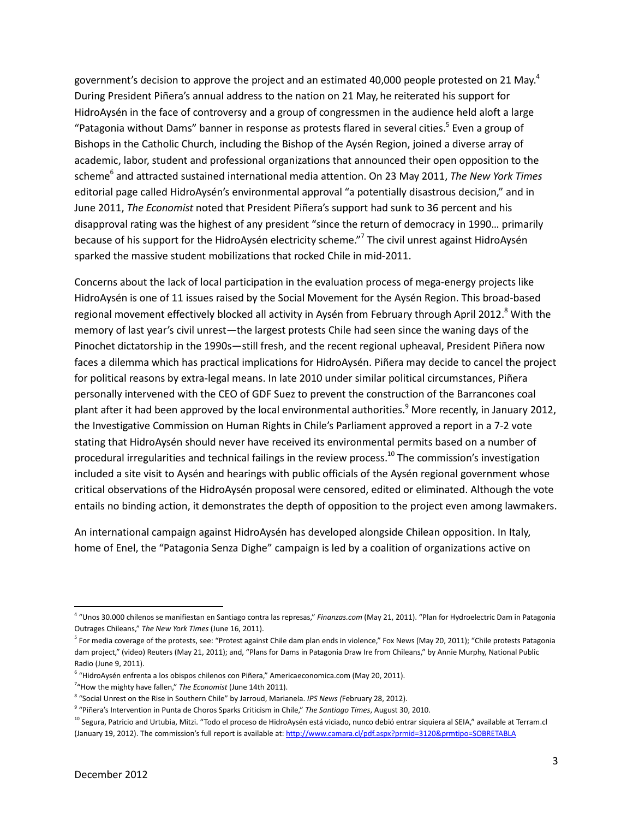government's decision to approve the project and an estimated 40,000 people protested on 21 May.<sup>4</sup> During President Piñera's annual address to the nation on 21 May, he reiterated his support for HidroAysén in the face of controversy and a group of congressmen in the audience held aloft a large "Patagonia without Dams" banner in response as protests flared in several cities.<sup>5</sup> Even a group of Bishops in the Catholic Church, including the Bishop of the Aysén Region, joined a diverse array of academic, labor, student and professional organizations that announced their open opposition to the scheme<sup>6</sup> and attracted sustained international media attention. On 23 May 2011, The New York Times editorial page called HidroAysén's environmental approval "a potentially disastrous decision," and in June 2011, The Economist noted that President Piñera's support had sunk to 36 percent and his disapproval rating was the highest of any president "since the return of democracy in 1990… primarily because of his support for the HidroAysén electricity scheme."<sup>7</sup> The civil unrest against HidroAysén sparked the massive student mobilizations that rocked Chile in mid-2011.

Concerns about the lack of local participation in the evaluation process of mega-energy projects like HidroAysén is one of 11 issues raised by the Social Movement for the Aysén Region. This broad-based regional movement effectively blocked all activity in Aysén from February through April 2012.<sup>8</sup> With the memory of last year's civil unrest—the largest protests Chile had seen since the waning days of the Pinochet dictatorship in the 1990s—still fresh, and the recent regional upheaval, President Piñera now faces a dilemma which has practical implications for HidroAysén. Piñera may decide to cancel the project for political reasons by extra-legal means. In late 2010 under similar political circumstances, Piñera personally intervened with the CEO of GDF Suez to prevent the construction of the Barrancones coal plant after it had been approved by the local environmental authorities.<sup>9</sup> More recently, in January 2012, the Investigative Commission on Human Rights in Chile's Parliament approved a report in a 7-2 vote stating that HidroAysén should never have received its environmental permits based on a number of procedural irregularities and technical failings in the review process.<sup>10</sup> The commission's investigation included a site visit to Aysén and hearings with public officials of the Aysén regional government whose critical observations of the HidroAysén proposal were censored, edited or eliminated. Although the vote entails no binding action, it demonstrates the depth of opposition to the project even among lawmakers.

An international campaign against HidroAysén has developed alongside Chilean opposition. In Italy, home of Enel, the "Patagonia Senza Dighe" campaign is led by a coalition of organizations active on

l

<sup>&</sup>lt;sup>4</sup> "Unos 30.000 chilenos se manifiestan en Santiago contra las represas," Finanzas.com (May 21, 2011). "Plan for Hydroelectric Dam in Patagonia Outrages Chileans," The New York Times (June 16, 2011).

<sup>&</sup>lt;sup>5</sup> For media coverage of the protests, see: "Protest against Chile dam plan ends in violence," Fox News (May 20, 2011); "Chile protests Patagonia dam project," (video) Reuters (May 21, 2011); and, "Plans for Dams in Patagonia Draw Ire from Chileans," by Annie Murphy, National Public Radio (June 9, 2011).

<sup>&</sup>lt;sup>6</sup> "HidroAysén enfrenta a los obispos chilenos con Piñera," Americaeconomica.com (May 20, 2011).

 $7''$ How the mighty have fallen," The Economist (June 14th 2011).

<sup>&</sup>lt;sup>8</sup> "Social Unrest on the Rise in Southern Chile" by Jarroud, Marianela. IPS News (February 28, 2012).

<sup>&</sup>lt;sup>9</sup> "Piñera's Intervention in Punta de Choros Sparks Criticism in Chile," The Santiago Times, August 30, 2010.

<sup>&</sup>lt;sup>10</sup> Segura, Patricio and Urtubia, Mitzi. "Todo el proceso de HidroAysén está viciado, nunco debió entrar siquiera al SEIA," available at Terram.cl (January 19, 2012). The commission's full report is available at: http://www.camara.cl/pdf.aspx?prmid=3120&prmtipo=SOBRETABLA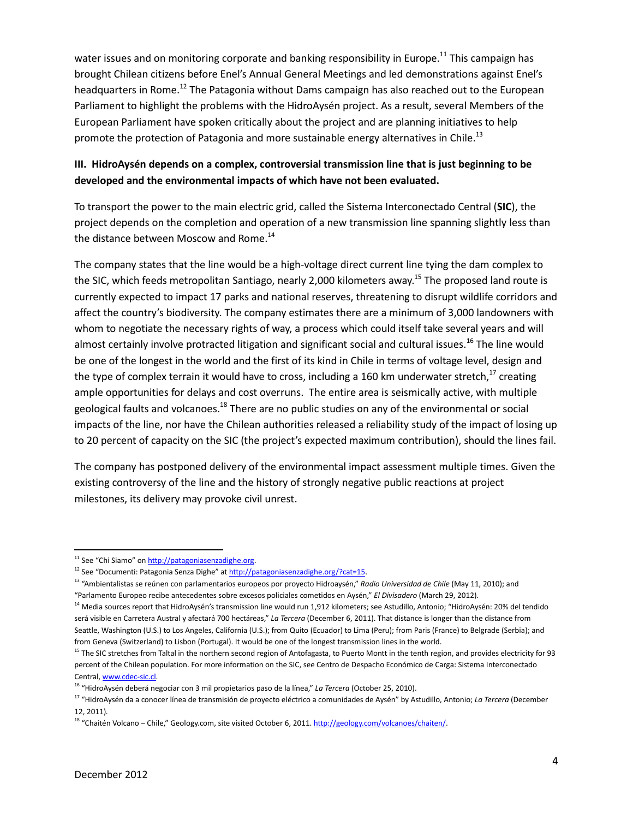water issues and on monitoring corporate and banking responsibility in Europe.<sup>11</sup> This campaign has brought Chilean citizens before Enel's Annual General Meetings and led demonstrations against Enel's headquarters in Rome.<sup>12</sup> The Patagonia without Dams campaign has also reached out to the European Parliament to highlight the problems with the HidroAysén project. As a result, several Members of the European Parliament have spoken critically about the project and are planning initiatives to help promote the protection of Patagonia and more sustainable energy alternatives in Chile.<sup>13</sup>

## III. HidroAysén depends on a complex, controversial transmission line that is just beginning to be developed and the environmental impacts of which have not been evaluated.

To transport the power to the main electric grid, called the Sistema Interconectado Central (SIC), the project depends on the completion and operation of a new transmission line spanning slightly less than the distance between Moscow and Rome. $^{14}$ 

The company states that the line would be a high-voltage direct current line tying the dam complex to the SIC, which feeds metropolitan Santiago, nearly 2,000 kilometers away.<sup>15</sup> The proposed land route is currently expected to impact 17 parks and national reserves, threatening to disrupt wildlife corridors and affect the country's biodiversity. The company estimates there are a minimum of 3,000 landowners with whom to negotiate the necessary rights of way, a process which could itself take several years and will almost certainly involve protracted litigation and significant social and cultural issues.<sup>16</sup> The line would be one of the longest in the world and the first of its kind in Chile in terms of voltage level, design and the type of complex terrain it would have to cross, including a 160 km underwater stretch,<sup>17</sup> creating ample opportunities for delays and cost overruns. The entire area is seismically active, with multiple geological faults and volcanoes.<sup>18</sup> There are no public studies on any of the environmental or social impacts of the line, nor have the Chilean authorities released a reliability study of the impact of losing up to 20 percent of capacity on the SIC (the project's expected maximum contribution), should the lines fail.

The company has postponed delivery of the environmental impact assessment multiple times. Given the existing controversy of the line and the history of strongly negative public reactions at project milestones, its delivery may provoke civil unrest.

 $\overline{\phantom{0}}$ 

<sup>&</sup>lt;sup>11</sup> See "Chi Siamo" on http://patagoniasenzadighe.org.

<sup>&</sup>lt;sup>12</sup> See "Documenti: Patagonia Senza Dighe" at http://patagoniasenzadighe.org/?cat=15.

<sup>&</sup>lt;sup>13</sup> "Ambientalistas se reúnen con parlamentarios europeos por proyecto Hidroaysén," Radio Universidad de Chile (May 11, 2010); and "Parlamento Europeo recibe antecedentes sobre excesos policiales cometidos en Aysén," El Divisadero (March 29, 2012).

<sup>&</sup>lt;sup>14</sup> Media sources report that HidroAysén's transmission line would run 1,912 kilometers; see Astudillo, Antonio; "HidroAysén: 20% del tendido será visible en Carretera Austral y afectará 700 hectáreas," La Tercera (December 6, 2011). That distance is longer than the distance from Seattle, Washington (U.S.) to Los Angeles, California (U.S.); from Quito (Ecuador) to Lima (Peru); from Paris (France) to Belgrade (Serbia); and from Geneva (Switzerland) to Lisbon (Portugal). It would be one of the longest transmission lines in the world.

<sup>&</sup>lt;sup>15</sup> The SIC stretches from Taltal in the northern second region of Antofagasta, to Puerto Montt in the tenth region, and provides electricity for 93 percent of the Chilean population. For more information on the SIC, see Centro de Despacho Económico de Carga: Sistema Interconectado Central, www.cdec-sic.cl.

<sup>&</sup>lt;sup>16</sup> "HidroAysén deberá negociar con 3 mil propietarios paso de la línea," La Tercera (October 25, 2010).

<sup>&</sup>lt;sup>17</sup> "HidroAysén da a conocer línea de transmisión de proyecto eléctrico a comunidades de Aysén" by Astudillo, Antonio; La Tercera (December 12, 2011).

<sup>&</sup>lt;sup>18</sup> "Chaitén Volcano – Chile," Geology.com, site visited October 6, 2011. http://geology.com/volcanoes/chaiten/.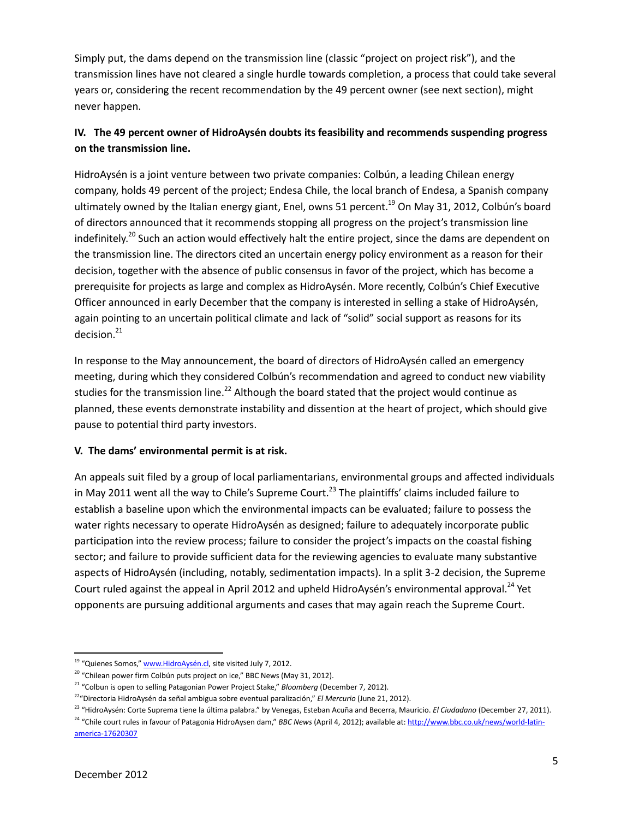Simply put, the dams depend on the transmission line (classic "project on project risk"), and the transmission lines have not cleared a single hurdle towards completion, a process that could take several years or, considering the recent recommendation by the 49 percent owner (see next section), might never happen.

# IV. The 49 percent owner of HidroAysén doubts its feasibility and recommends suspending progress on the transmission line.

HidroAysén is a joint venture between two private companies: Colbún, a leading Chilean energy company, holds 49 percent of the project; Endesa Chile, the local branch of Endesa, a Spanish company ultimately owned by the Italian energy giant, Enel, owns 51 percent.<sup>19</sup> On May 31, 2012, Colbún's board of directors announced that it recommends stopping all progress on the project's transmission line indefinitely.<sup>20</sup> Such an action would effectively halt the entire project, since the dams are dependent on the transmission line. The directors cited an uncertain energy policy environment as a reason for their decision, together with the absence of public consensus in favor of the project, which has become a prerequisite for projects as large and complex as HidroAysén. More recently, Colbún's Chief Executive Officer announced in early December that the company is interested in selling a stake of HidroAysén, again pointing to an uncertain political climate and lack of "solid" social support as reasons for its decision.<sup>21</sup>

In response to the May announcement, the board of directors of HidroAysén called an emergency meeting, during which they considered Colbún's recommendation and agreed to conduct new viability studies for the transmission line.<sup>22</sup> Although the board stated that the project would continue as planned, these events demonstrate instability and dissention at the heart of project, which should give pause to potential third party investors.

### V. The dams' environmental permit is at risk.

An appeals suit filed by a group of local parliamentarians, environmental groups and affected individuals in May 2011 went all the way to Chile's Supreme Court.<sup>23</sup> The plaintiffs' claims included failure to establish a baseline upon which the environmental impacts can be evaluated; failure to possess the water rights necessary to operate HidroAysén as designed; failure to adequately incorporate public participation into the review process; failure to consider the project's impacts on the coastal fishing sector; and failure to provide sufficient data for the reviewing agencies to evaluate many substantive aspects of HidroAysén (including, notably, sedimentation impacts). In a split 3-2 decision, the Supreme Court ruled against the appeal in April 2012 and upheld HidroAysén's environmental approval.<sup>24</sup> Yet opponents are pursuing additional arguments and cases that may again reach the Supreme Court.

l

<sup>&</sup>lt;sup>19</sup> "Quienes Somos," www.HidroAysén.cl, site visited July 7, 2012.

 $20$  "Chilean power firm Colbún puts project on ice," BBC News (May 31, 2012).

<sup>&</sup>lt;sup>21</sup> "Colbun is open to selling Patagonian Power Project Stake," Bloomberg (December 7, 2012).

<sup>&</sup>lt;sup>22</sup>"Directoria HidroAysén da señal ambigua sobre eventual paralización," El Mercurio (June 21, 2012).

<sup>&</sup>lt;sup>23</sup> "HidroAysén: Corte Suprema tiene la última palabra." by Venegas, Esteban Acuña and Becerra, Mauricio. El Ciudadano (December 27, 2011). <sup>24</sup> "Chile court rules in favour of Patagonia HidroAysen dam," BBC News (April 4, 2012); available at: http://www.bbc.co.uk/news/world-latinamerica-17620307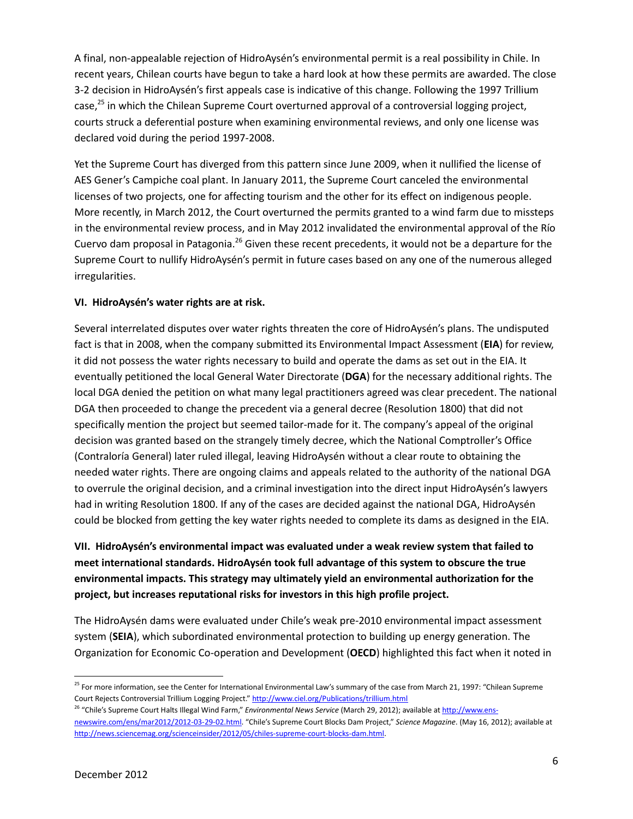A final, non-appealable rejection of HidroAysén's environmental permit is a real possibility in Chile. In recent years, Chilean courts have begun to take a hard look at how these permits are awarded. The close 3-2 decision in HidroAysén's first appeals case is indicative of this change. Following the 1997 Trillium case,<sup>25</sup> in which the Chilean Supreme Court overturned approval of a controversial logging project, courts struck a deferential posture when examining environmental reviews, and only one license was declared void during the period 1997-2008.

Yet the Supreme Court has diverged from this pattern since June 2009, when it nullified the license of AES Gener's Campiche coal plant. In January 2011, the Supreme Court canceled the environmental licenses of two projects, one for affecting tourism and the other for its effect on indigenous people. More recently, in March 2012, the Court overturned the permits granted to a wind farm due to missteps in the environmental review process, and in May 2012 invalidated the environmental approval of the Río Cuervo dam proposal in Patagonia.<sup>26</sup> Given these recent precedents, it would not be a departure for the Supreme Court to nullify HidroAysén's permit in future cases based on any one of the numerous alleged irregularities.

### VI. HidroAysén's water rights are at risk.

Several interrelated disputes over water rights threaten the core of HidroAysén's plans. The undisputed fact is that in 2008, when the company submitted its Environmental Impact Assessment (EIA) for review, it did not possess the water rights necessary to build and operate the dams as set out in the EIA. It eventually petitioned the local General Water Directorate (DGA) for the necessary additional rights. The local DGA denied the petition on what many legal practitioners agreed was clear precedent. The national DGA then proceeded to change the precedent via a general decree (Resolution 1800) that did not specifically mention the project but seemed tailor-made for it. The company's appeal of the original decision was granted based on the strangely timely decree, which the National Comptroller's Office (Contraloría General) later ruled illegal, leaving HidroAysén without a clear route to obtaining the needed water rights. There are ongoing claims and appeals related to the authority of the national DGA to overrule the original decision, and a criminal investigation into the direct input HidroAysén's lawyers had in writing Resolution 1800. If any of the cases are decided against the national DGA, HidroAysén could be blocked from getting the key water rights needed to complete its dams as designed in the EIA.

# VII. HidroAysén's environmental impact was evaluated under a weak review system that failed to meet international standards. HidroAysén took full advantage of this system to obscure the true environmental impacts. This strategy may ultimately yield an environmental authorization for the project, but increases reputational risks for investors in this high profile project.

The HidroAysén dams were evaluated under Chile's weak pre-2010 environmental impact assessment system (SEIA), which subordinated environmental protection to building up energy generation. The Organization for Economic Co-operation and Development (OECD) highlighted this fact when it noted in

<sup>&</sup>lt;sup>25</sup> For more information, see the Center for International Environmental Law's summary of the case from March 21, 1997: "Chilean Supreme Court Rejects Controversial Trillium Logging Project." http://www.ciel.org/Publications/trillium.html

<sup>&</sup>lt;sup>26</sup> "Chile's Supreme Court Halts Illegal Wind Farm," Environmental News Service (March 29, 2012); available at http://www.ensnewswire.com/ens/mar2012/2012-03-29-02.html. "Chile's Supreme Court Blocks Dam Project," Science Magazine. (May 16, 2012); available at http://news.sciencemag.org/scienceinsider/2012/05/chiles-supreme-court-blocks-dam.html.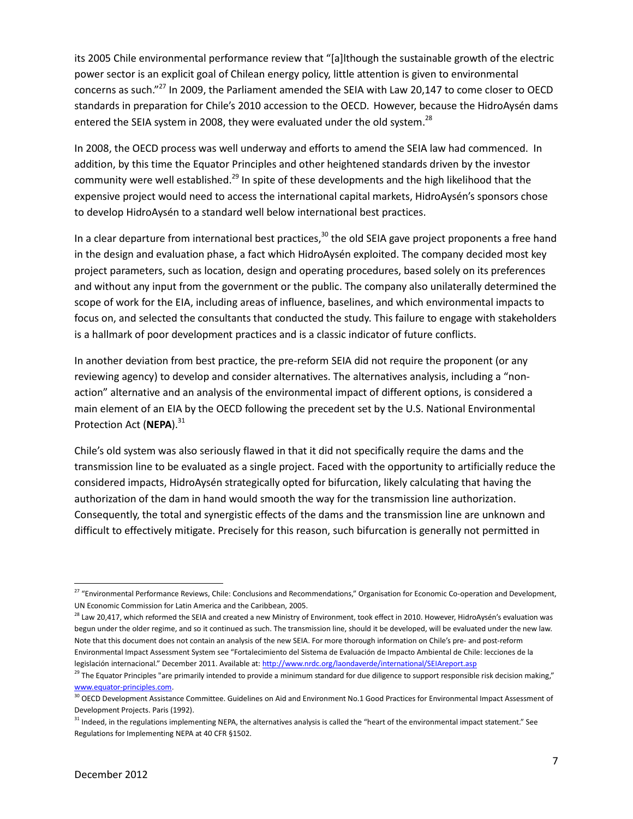its 2005 Chile environmental performance review that "[a]lthough the sustainable growth of the electric power sector is an explicit goal of Chilean energy policy, little attention is given to environmental concerns as such."<sup>27</sup> In 2009, the Parliament amended the SEIA with Law 20,147 to come closer to OECD standards in preparation for Chile's 2010 accession to the OECD. However, because the HidroAysén dams entered the SEIA system in 2008, they were evaluated under the old system.<sup>28</sup>

In 2008, the OECD process was well underway and efforts to amend the SEIA law had commenced. In addition, by this time the Equator Principles and other heightened standards driven by the investor community were well established.<sup>29</sup> In spite of these developments and the high likelihood that the expensive project would need to access the international capital markets, HidroAysén's sponsors chose to develop HidroAysén to a standard well below international best practices.

In a clear departure from international best practices,  $30$  the old SEIA gave project proponents a free hand in the design and evaluation phase, a fact which HidroAysén exploited. The company decided most key project parameters, such as location, design and operating procedures, based solely on its preferences and without any input from the government or the public. The company also unilaterally determined the scope of work for the EIA, including areas of influence, baselines, and which environmental impacts to focus on, and selected the consultants that conducted the study. This failure to engage with stakeholders is a hallmark of poor development practices and is a classic indicator of future conflicts.

In another deviation from best practice, the pre-reform SEIA did not require the proponent (or any reviewing agency) to develop and consider alternatives. The alternatives analysis, including a "nonaction" alternative and an analysis of the environmental impact of different options, is considered a main element of an EIA by the OECD following the precedent set by the U.S. National Environmental Protection Act (NEPA).<sup>31</sup>

Chile's old system was also seriously flawed in that it did not specifically require the dams and the transmission line to be evaluated as a single project. Faced with the opportunity to artificially reduce the considered impacts, HidroAysén strategically opted for bifurcation, likely calculating that having the authorization of the dam in hand would smooth the way for the transmission line authorization. Consequently, the total and synergistic effects of the dams and the transmission line are unknown and difficult to effectively mitigate. Precisely for this reason, such bifurcation is generally not permitted in

 $\overline{a}$ 

<sup>&</sup>lt;sup>27</sup> "Environmental Performance Reviews, Chile: Conclusions and Recommendations," Organisation for Economic Co-operation and Development, UN Economic Commission for Latin America and the Caribbean, 2005.

<sup>&</sup>lt;sup>28</sup> Law 20,417, which reformed the SEIA and created a new Ministry of Environment, took effect in 2010. However, HidroAysén's evaluation was begun under the older regime, and so it continued as such. The transmission line, should it be developed, will be evaluated under the new law. Note that this document does not contain an analysis of the new SEIA. For more thorough information on Chile's pre- and post-reform Environmental Impact Assessment System see "Fortalecimiento del Sistema de Evaluación de Impacto Ambiental de Chile: lecciones de la legislación internacional." December 2011. Available at: http://www.nrdc.org/laondaverde/international/SEIAreport.asp

<sup>&</sup>lt;sup>29</sup> The Equator Principles "are primarily intended to provide a minimum standard for due diligence to support responsible risk decision making," www.equator-principles.com.

<sup>&</sup>lt;sup>30</sup> OECD Development Assistance Committee. Guidelines on Aid and Environment No.1 Good Practices for Environmental Impact Assessment of Development Projects. Paris (1992).

<sup>&</sup>lt;sup>31</sup> Indeed, in the regulations implementing NEPA, the alternatives analysis is called the "heart of the environmental impact statement." See Regulations for Implementing NEPA at 40 CFR §1502.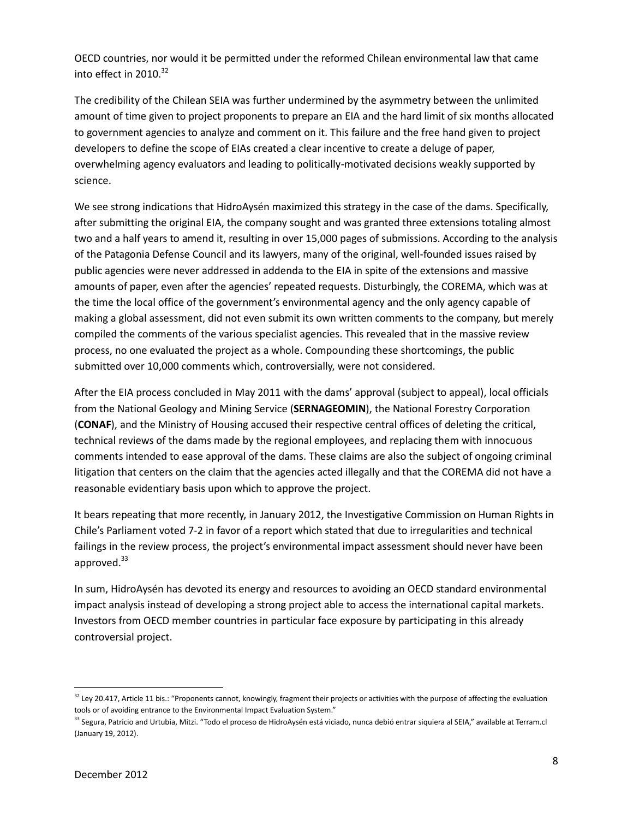OECD countries, nor would it be permitted under the reformed Chilean environmental law that came into effect in  $2010.<sup>32</sup>$ 

The credibility of the Chilean SEIA was further undermined by the asymmetry between the unlimited amount of time given to project proponents to prepare an EIA and the hard limit of six months allocated to government agencies to analyze and comment on it. This failure and the free hand given to project developers to define the scope of EIAs created a clear incentive to create a deluge of paper, overwhelming agency evaluators and leading to politically-motivated decisions weakly supported by science.

We see strong indications that HidroAysén maximized this strategy in the case of the dams. Specifically, after submitting the original EIA, the company sought and was granted three extensions totaling almost two and a half years to amend it, resulting in over 15,000 pages of submissions. According to the analysis of the Patagonia Defense Council and its lawyers, many of the original, well-founded issues raised by public agencies were never addressed in addenda to the EIA in spite of the extensions and massive amounts of paper, even after the agencies' repeated requests. Disturbingly, the COREMA, which was at the time the local office of the government's environmental agency and the only agency capable of making a global assessment, did not even submit its own written comments to the company, but merely compiled the comments of the various specialist agencies. This revealed that in the massive review process, no one evaluated the project as a whole. Compounding these shortcomings, the public submitted over 10,000 comments which, controversially, were not considered.

After the EIA process concluded in May 2011 with the dams' approval (subject to appeal), local officials from the National Geology and Mining Service (SERNAGEOMIN), the National Forestry Corporation (CONAF), and the Ministry of Housing accused their respective central offices of deleting the critical, technical reviews of the dams made by the regional employees, and replacing them with innocuous comments intended to ease approval of the dams. These claims are also the subject of ongoing criminal litigation that centers on the claim that the agencies acted illegally and that the COREMA did not have a reasonable evidentiary basis upon which to approve the project.

It bears repeating that more recently, in January 2012, the Investigative Commission on Human Rights in Chile's Parliament voted 7-2 in favor of a report which stated that due to irregularities and technical failings in the review process, the project's environmental impact assessment should never have been approved. $33$ 

In sum, HidroAysén has devoted its energy and resources to avoiding an OECD standard environmental impact analysis instead of developing a strong project able to access the international capital markets. Investors from OECD member countries in particular face exposure by participating in this already controversial project.

l

<sup>&</sup>lt;sup>32</sup> Ley 20.417, Article 11 bis.: "Proponents cannot, knowingly, fragment their projects or activities with the purpose of affecting the evaluation tools or of avoiding entrance to the Environmental Impact Evaluation System."

<sup>&</sup>lt;sup>33</sup> Segura, Patricio and Urtubia, Mitzi. "Todo el proceso de HidroAysén está viciado, nunca debió entrar siquiera al SEIA," available at Terram.cl (January 19, 2012).